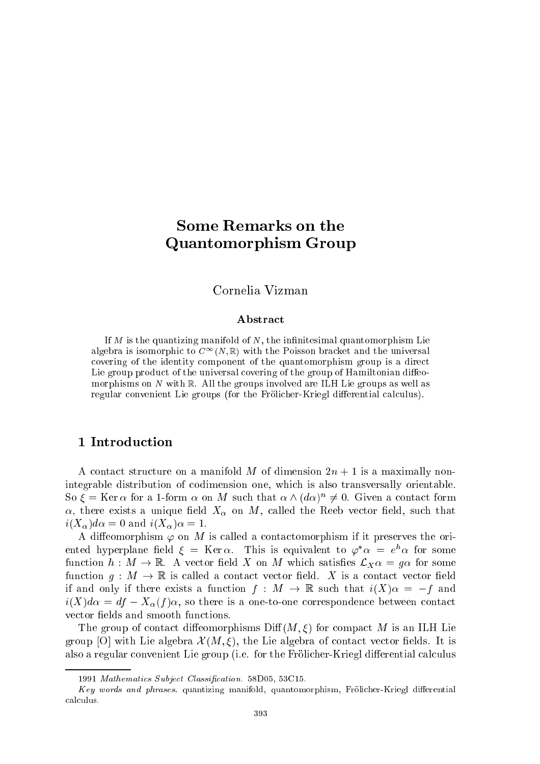# Some Remarks on the Quantomorphism Group

Cornelia Vizman

### Abstract

If  $M$  is the quantizing manifold of  $N$ , the infinitesimal quantomorphism Lie algebra is isomorphic to  $C^{\infty}(N,\mathbb{R})$  with the Poisson bracket and the universal covering of the identity component of the quantomorphism group is a direct Lie group product of the universal covering of the group of Hamiltonian diffeomorphisms on N with  $\mathbb R$ . All the groups involved are ILH Lie groups as well as regular convenient Lie groups (for the Frölicher-Kriegl differential calculus).

A contact structure on a manifold M of dimension  $2n + 1$  is a maximally nonintegrable distribution of codimension one, which is also transversally orientable.  $\mathcal{S}_0$   $\zeta = \mathbf{K}$ er  $\alpha$  for a 1-form  $\alpha$  on M such that  $\alpha$   $\wedge$  ( $a\alpha$ ))  $\neq$  0. Given a contact form  $\alpha$ , there exists a unique field  $X_{\alpha}$  on M, called the Reeb vector field, such that  $i(X_{\alpha})d\alpha = 0$  and  $i(X_{\alpha})\alpha = 1$ .

A diffeomorphism  $\varphi$  on M is called a contactomorphism if it preserves the oriented hyperplane field  $\xi~=~{\tt Ker}\,\alpha$ . This is equivalent to  $\varphi^{\scriptscriptstyle +}\alpha~=~e^{\scriptscriptstyle +}\alpha$  for some function  $h: M \to \mathbb{R}$ . A vector field X on M which satisfies  $\mathcal{L}_X \alpha = g \alpha$  for some function  $g: M \to \mathbb{R}$  is called a contact vector field. X is a contact vector field if and only if there exists a function  $f : M \to \mathbb{R}$  such that  $i(X)\alpha = -f$  and  $i(X)d\alpha = df - X_{\alpha}(f)\alpha$ , so there is a one-to-one correspondence between contact vector fields and smooth functions.

The group of contact diffeomorphisms  $\text{Diff}(M,\xi)$  for compact M is an ILH Lie group [O] with Lie algebra  $\mathcal{X}(M,\xi)$ , the Lie algebra of contact vector fields. It is also a regular convenient Lie group (i.e. for the Frölicher-Kriegl differential calculus

<sup>1991</sup> Mathematics Subject Classication. 58D05, 53C15.

Key words and phrases. quantizing manifold, quantomorphism, Frölicher-Kriegl differential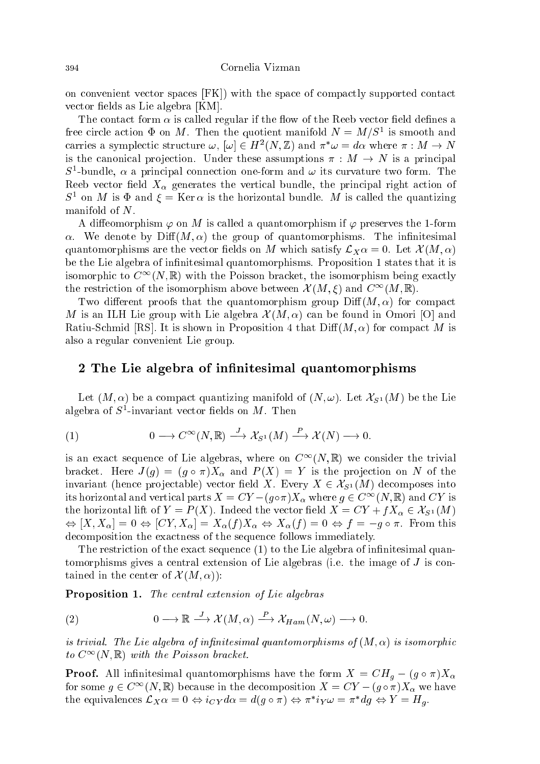on convenient vector spaces [FK]) with the space of compactly supported contact vector fields as Lie algebra [KM].

The contact form  $\alpha$  is called regular if the flow of the Reeb vector field defines a free circle action  $\Psi$  on  $M$ . Then the quotient manifold  $N \equiv M/S^-$  is smooth and carries a symplectic structure  $\omega$ ,  $|\omega| \in H^{-}(N, \mathbb{Z})$  and  $\pi/\omega = a\alpha$  where  $\pi : M \to N$ is the canonical projection. Under these assumptions  $\pi : M \to N$  is a principal  $S$ -bundle,  $\alpha$  a principal connection one-form and  $\omega$  its curvature two form. The Reeb vector field  $X_{\alpha}$  generates the vertical bundle, the principal right action of  $S^-$  on M is  $\Psi$  and  $\xi = \text{Ker }\alpha$  is the horizontal bundle. M is called the quantizing manifold of N.

A diffeomorphism  $\varphi$  on M is called a quantomorphism if  $\varphi$  preserves the 1-form  $\alpha$ . We denote by  $\text{Diff}(M,\alpha)$  the group of quantomorphisms. The infinitesimal quantomorphisms are the vector fields on M which satisfy  $\mathcal{L}_X\alpha = 0$ . Let  $\mathcal{X}(M,\alpha)$ be the Lie algebra of infinitesimal quantomorphisms. Proposition 1 states that it is isomorphic to  $C^{\infty}(N, \mathbb{R})$  with the Poisson bracket, the isomorphism being exactly the restriction of the isomorphism above between  $\mathcal{X}(M,\xi)$  and  $C^{\infty}(M,\mathbb{R})$ .

Two different proofs that the quantomorphism group  $\mathrm{Diff}(M,\alpha)$  for compact M is an ILH Lie group with Lie algebra  $\mathcal{X}(M,\alpha)$  can be found in Omori [O] and Ratiu-Schmid [RS]. It is shown in Proposition 4 that  $\text{Diff}(M, \alpha)$  for compact M is also a regular convenient Lie group.

## 2 The Lie algebra of innitesimal quantomorphisms

Let  $(M, \alpha)$  be a compact quantizing manifold of  $(N, \omega)$ . Let  $\mathcal{X}_{S^1}(M)$  be the Lie algebra of 5<sup>-</sup>-invariant vector nelds on *M* . Then

(1) 
$$
0 \longrightarrow C^{\infty}(N, \mathbb{R}) \stackrel{J}{\longrightarrow} \mathcal{X}_{S^1}(M) \stackrel{P}{\longrightarrow} \mathcal{X}(N) \longrightarrow 0.
$$

is an exact sequence of Lie algebras, where on  $C^{\infty}(N, \mathbb{R})$  we consider the trivial bracket. Here  $J(g) = (g \circ \pi)X_{\alpha}$  and  $P(X) = Y$  is the projection on N of the invariant (hence projectable) vector field X. Every  $X \in \mathcal{X}_{S^1}(M)$  decomposes into its horizontal and vertical parts  $X = CY - (g \circ \pi)X_{\alpha}$  where  $g \in C^{\infty}(N, \mathbb{R})$  and CY is the horizontal lift of  $Y = P(X)$ . Indeed the vector field  $X = CY + fX_{\alpha} \in \mathcal{X}_{S^1}(M)$ ,  $\mathcal{X}$  ,  $\mathcal{X}$  ,  $\mathcal{X}$  ,  $\mathcal{X}$  ,  $\mathcal{X}$  ,  $\mathcal{X}$  ,  $\mathcal{X}$  ,  $\mathcal{Y}$  ,  $\mathcal{Y}$  ,  $\mathcal{Y}$  ,  $\mathcal{Y}$  ,  $\mathcal{Y}$  ,  $\mathcal{Y}$  ,  $\mathcal{Y}$  ,  $\mathcal{Y}$  ,  $\mathcal{Y}$  ,  $\mathcal{Y}$  ,  $\mathcal{Y}$  ,  $\mathcal{Y}$  ,  $\mathcal{Y}$  , decomposition the exactness of the sequence follows immediately.

The restriction of the exact sequence  $(1)$  to the Lie algebra of infinitesimal quantomorphisms gives a central extension of Lie algebras (i.e. the image of J is contained in the center of  $\mathcal{X}(M,\alpha)$ :

Proposition 1. The central extension of Lie algebras

(2) 
$$
0 \longrightarrow \mathbb{R} \stackrel{J}{\longrightarrow} \mathcal{X}(M,\alpha) \stackrel{P}{\longrightarrow} \mathcal{X}_{Ham}(N,\omega) \longrightarrow 0.
$$

is trivial. The Lie algebra of infinitesimal quantomorphisms of  $(M, \alpha)$  is isomorphic to  $C^{\infty}(N,\mathbb{R})$  with the Poisson bracket.

**Proof.** All infinitesimal quantomorphisms have the form  $X = CH_q - (g \circ \pi)X_q$ for some  $g \in C^{\infty}(N, \mathbb{R})$  because in the decomposition  $X = CY - (g \circ \pi)X_{\alpha}$  we have the equivalences  $L_X \alpha = 0 \Leftrightarrow i_C y \alpha \alpha = a(g \circ \pi) \Leftrightarrow \pi i_Y \omega = \pi i g \Leftrightarrow i' = n_g$ .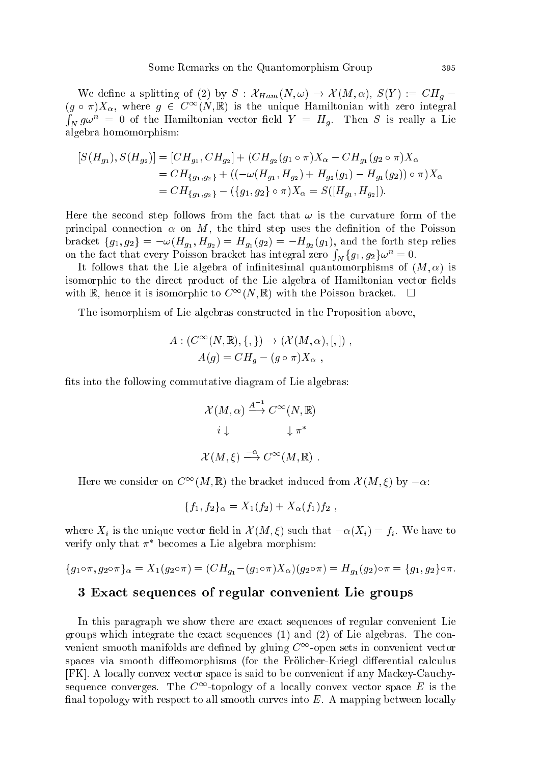We define a splitting of (2) by  $S: \mathcal{X}_{Ham}(N, \omega) \to \mathcal{X}(M, \alpha), S(Y) := CH_q$  $(g \circ \pi)X_{\alpha}$ , where  $g \in C^{\infty}(N,\mathbb{R})$  is the unique Hamiltonian with zero integral  $\int_N g\omega^n = 0$  of the Hamiltonian vector field  $Y = H_g$ . Then S is really a Lie algebra homomorphism:

$$
[S(H_{g_1}), S(H_{g_2})] = [CH_{g_1}, CH_{g_2}] + (CH_{g_2}(g_1 \circ \pi)X_{\alpha} - CH_{g_1}(g_2 \circ \pi)X_{\alpha}
$$
  
=  $CH_{\{g_1, g_2\}} + ((-\omega(H_{g_1}, H_{g_2}) + H_{g_2}(g_1) - H_{g_1}(g_2)) \circ \pi)X_{\alpha}$   
=  $CH_{\{g_1, g_2\}} - (\{g_1, g_2\} \circ \pi)X_{\alpha} = S([H_{g_1}, H_{g_2}]).$ 

Here the second step follows from the fact that  $\omega$  is the curvature form of the principal connection  $\alpha$  on M, the third step uses the definition of the Poisson on the fact that every Poisson bracket has integral zero  $\int_N {\{g_1, g_2\}}^{\omega} = 0.$ 

It follows that the Lie algebra of infinitesimal quantomorphisms of  $(M, \alpha)$  is isomorphic to the direct product of the Lie algebra of Hamiltonian vector fields with R, hence it is isomorphic to  $C^{\infty}(N, \mathbb{R})$  with the Poisson bracket.  $\Box$ 

The isomorphism of Lie algebras constructed in the Proposition above,

$$
A: (C^{\infty}(N, \mathbb{R}), \{, \}) \to (\mathcal{X}(M, \alpha), [,]) ,
$$
  

$$
A(g) = CH_g - (g \circ \pi)X_{\alpha} ,
$$

fits into the following commutative diagram of Lie algebras:

$$
\mathcal{X}(M,\alpha) \xrightarrow{A^{-1}} C^{\infty}(N,\mathbb{R})
$$

$$
i \downarrow \qquad \qquad \downarrow \pi^*
$$

$$
\mathcal{X}(M,\xi) \xrightarrow{-\alpha} C^{\infty}(M,\mathbb{R}) .
$$

Here we consider on  $C^{\infty}(M, \mathbb{R})$  the bracket induced from  $\mathcal{X}(M, \xi)$  by  $-\alpha$ .

$$
\{f_1, f_2\}_{\alpha} = X_1(f_2) + X_{\alpha}(f_1)f_2,
$$

where  $X_i$  is the unique vector field in  $\mathcal{X}(M, \xi)$  such that  $-\alpha(X_i) = f_i$ . We have to verify only that  $\pi$  – becomes a Lie algebra morphism:

$$
\{g_1 \circ \pi, g_2 \circ \pi\}_{\alpha} = X_1(g_2 \circ \pi) = (CH_{g_1} - (g_1 \circ \pi)X_{\alpha})(g_2 \circ \pi) = H_{g_1}(g_2) \circ \pi = \{g_1, g_2\} \circ \pi.
$$

## 3 Exact sequences of regular convenient Lie groups

In this paragraph we show there are exact sequences of regular convenient Lie groups which integrate the exact sequences (1) and (2) of Lie algebras. The convenient smooth manifolds are defined by gluing  $C^{\infty}$ -open sets in convenient vector spaces via smooth diffeomorphisms (for the Frölicher-Kriegl differential calculus [FK]. A locally convex vector space is said to be convenient if any Mackey-Cauchysequence converges. The  $C^{\infty}$ -topology of a locally convex vector space E is the final topology with respect to all smooth curves into  $E$ . A mapping between locally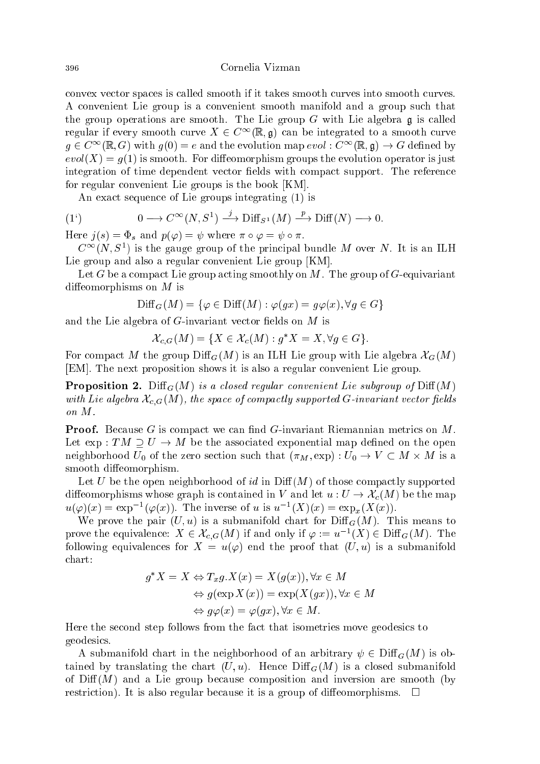Cornelia Vizman

convex vector spaces is called smooth if it takes smooth curves into smooth curves. A convenient Lie group is a convenient smooth manifold and a group such that the group operations are smooth. The Lie group  $G$  with Lie algebra  $\mathfrak g$  is called regular if every smooth curve  $X \in C^{\infty}(\mathbb{R}, \mathfrak{g})$  can be integrated to a smooth curve  $g \in C^{\infty}(\mathbb{R}, G)$  with  $g(0) = e$  and the evolution map  $evol : C^{\infty}(\mathbb{R}, \mathfrak{g}) \to G$  defined by  $evol(X) = g(1)$  is smooth. For diffeomorphism groups the evolution operator is just integration of time dependent vector fields with compact support. The reference for regular convenient Lie groups is the book [KM].

An exact sequence of Lie groups integrating (1) is

(1<sup>'</sup>) 
$$
0 \longrightarrow C^{\infty}(N, S^1) \stackrel{j}{\longrightarrow} \text{Diff}_{S^1}(M) \stackrel{p}{\longrightarrow} \text{Diff}(N) \longrightarrow 0.
$$

Here  $j(s) = \Phi_s$  and  $p(\varphi) = \psi$  where  $\pi \circ \varphi = \psi \circ \pi$ .

 $C_{-}(N, S_{-})$  is the gauge group of the principal bundle M over  $N$ . It is an ILH Lie group and also a regular convenient Lie group [KM].

Let G be a compact Lie group acting smoothly on M. The group of G-equivariant diffeomorphisms on  $M$  is

$$
\text{Diff}_G(M) = \{ \varphi \in \text{Diff}(M) : \varphi(gx) = g\varphi(x), \forall g \in G \}
$$

and the Lie algebra of  $G$ -invariant vector fields on  $M$  is

$$
\mathcal{X}_{c,G}(M) = \{ X \in \mathcal{X}_c(M) : g^*X = X, \forall g \in G \}.
$$

For compact M the group  $\text{Diff}_G(M)$  is an ILH Lie group with Lie algebra  $\mathcal{X}_G(M)$ [EM]. The next proposition shows it is also a regular convenient Lie group.

**Proposition 2.** Diff<sub>G</sub> $(M)$  is a closed regular convenient Lie subgroup of Diff $(M)$ with Lie algebra  $\mathcal{X}_{c,G}(M)$ , the space of compactly supported G-invariant vector fields on M.

**Proof.** Because G is compact we can find G-invariant Riemannian metrics on  $M$ . Let  $\exp: TM \supseteq U \rightarrow M$  be the associated exponential map defined on the open neighborhood under the zero section such that  $\mathcal{M}^{\mathcal{M}}$  is a  $\mathcal{M}^{\mathcal{M}}$  is a  $\mathcal{M}^{\mathcal{M}}$  is a  $\mathcal{M}^{\mathcal{M}}$  is a section such that (M) is a section such that (M) is a section such that (M) is a section of smooth diffeomorphism.

Let U be the open neighborhood of id in  $\text{Diff}(M)$  of those compactly supported diffeomorphisms whose graph is contained in V and let  $u: U \to \mathcal{X}_c(M)$  be the map  $u(\varphi)(x) = \exp^{-1}(\varphi(x))$ . The inverse of u is  $u^{-1}(\Lambda)(x) = \exp_x(\Lambda(x))$ .

We prove the pair  $(U, u)$  is a submanifold chart for  $\text{Diff}_G(M)$ . This means to prove the equivalence:  $X \in \mathcal{X}_{c,G}(M)$  if and only if  $\varphi := u^{-1}(X) \in \mathrm{Diff}_G(M)$ . The following equivalences for  $X = u(\varphi)$  end the proof that  $(U, u)$  is a submanifold chart:

$$
g^*X = X \Leftrightarrow T_x g.X(x) = X(g(x)), \forall x \in M
$$
  
\n
$$
\Leftrightarrow g(\exp X(x)) = \exp(X(gx)), \forall x \in M
$$
  
\n
$$
\Leftrightarrow g\varphi(x) = \varphi(gx), \forall x \in M.
$$

Here the second step follows from the fact that isometries move geodesics to geodesics.

A submanifold chart in the neighborhood of an arbitrary  $\psi \in \text{Diff}_G(M)$  is obtained by translating the chart  $(U, u)$ . Hence  $\text{Diff}_G(M)$  is a closed submanifold of  $\text{Diff}(M)$  and a Lie group because composition and inversion are smooth (by restriction). It is also regular because it is a group of diffeomorphisms.  $\Box$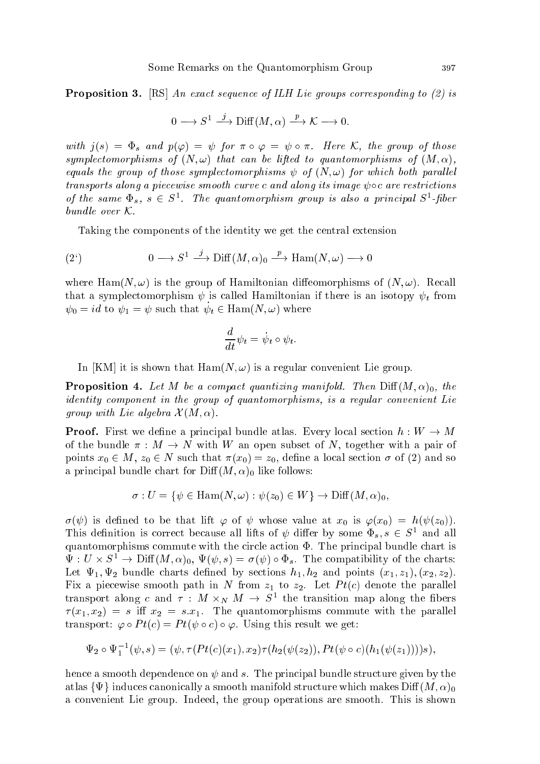Proposition 3. [RS] An exact sequence of ILH Lie groups corresponding to (2) is

$$
0 \longrightarrow S^1 \xrightarrow{j} \text{Diff}(M, \alpha) \xrightarrow{p} \mathcal{K} \longrightarrow 0.
$$

with  $j(s) = \Phi_s$  and  $p(\varphi) = \psi$  for  $\pi \circ \varphi = \psi \circ \pi$ . Here K, the group of those symplectomorphisms of  $(N, \omega)$  that can be lifted to quantomorphisms of  $(M, \alpha)$ , equals the group of those symplectomorphisms  $\psi$  of  $(N, \omega)$  for which both parallel transports along a piecewise smooth curve c and along its image  $\psi \circ c$  are restrictions of the same  $\Psi_s, s \in S^-.$  The quantomorphism group is also a principal  $S^-.$ poer bundle over  $K$ .

Taking the components of the identity we get the central extension

(2') 
$$
0 \longrightarrow S^1 \stackrel{j}{\longrightarrow} \text{Diff}(M,\alpha)_0 \stackrel{p}{\longrightarrow} \text{Ham}(N,\omega) \longrightarrow 0
$$

where Ham(N,  $\omega$ ) is the group of Hamiltonian diffeomorphisms of  $(N, \omega)$ . Recall that a symplectomorphism  $\psi$  is called Hamiltonian if there is an isotopy  $\psi_t$  from  $\psi_0 = \iota a$  to  $\psi_1 = \psi$  such that  $\psi_t \in \text{Hain}(N, \omega)$  where

$$
\frac{d}{dt}\psi_t = \dot{\psi}_t \circ \psi_t.
$$

In [KM] it is shown that  $\text{Ham}(N, \omega)$  is a regular convenient Lie group.

**Proposition 4.** Let M be a compact quantizing manifold. Then  $Diff(M, \alpha)_0$ , the identity component in the group of quantomorphisms, is a regular convenient Lie group with Lie algebra  $\mathcal{X}(M, \alpha)$ .

**Proof.** First we define a principal bundle atlas. Every local section  $h: W \to M$ of the bundle  $\pi : M \to N$  with W an open subset of N, together with a pair of points  $x_0 \in M$ ,  $z_0 \in N$  such that  $\pi(x_0) = z_0$ , define a local section  $\sigma$  of (2) and so a principal bundle chart for  $\text{Diff}(M, \alpha)_0$  like follows:

$$
\sigma: U = \{ \psi \in \text{Ham}(N, \omega) : \psi(z_0) \in W \} \to \text{Diff}(M, \alpha)_0,
$$

 $\sigma(\psi)$  is defined to be that lift  $\varphi$  of  $\psi$  whose value at  $x_0$  is  $\varphi(x_0) = h(\psi(z_0)).$ This definition is correct because all lifts of  $\psi$  differ by some  $\Psi_s$ ,  $s \in S^-$  and all quantomorphisms commute with the circle action  $\Phi$ . The principal bundle chart is  $\Psi: U \times S \to \text{Diff}(M, \alpha)_0, \ \Psi(\psi, s) = o(\psi) \circ \Psi_s.$  The compatibility of the charts: Let  $\Psi_1, \Psi_2$  bundle charts defined by sections  $h_1, h_2$  and points  $(x_1, z_1), (x_2, z_2)$ . Fix a piecewise smooth path in N from  $z_1$  to  $z_2$ . Let  $Pt(c)$  denote the parallel transport along c and  $\tau$  : M  $\times_N$  M  $\to$  S the transition map along the floers  $\tau(x_1, x_2) = s$  iff  $x_2 = s \cdot x_1$ . The quantomorphisms commute with the parallel transport:  $\varphi \circ Pt(c) = Pt(\psi \circ c) \circ \varphi$ . Using this result we get:

$$
\Psi_2 \circ \Psi_1^{-1}(\psi, s) = (\psi, \tau(Pt(c)(x_1), x_2) \tau(h_2(\psi(z_2)), Pt(\psi \circ c)(h_1(\psi(z_1))))s),
$$

hence a smooth dependence on  $\psi$  and s. The principal bundle structure given by the atlas  $\{\Psi\}$  induces canonically a smooth manifold structure which makes  $\text{Diff}(M, \alpha)_0$ a convenient Lie group. Indeed, the group operations are smooth. This is shown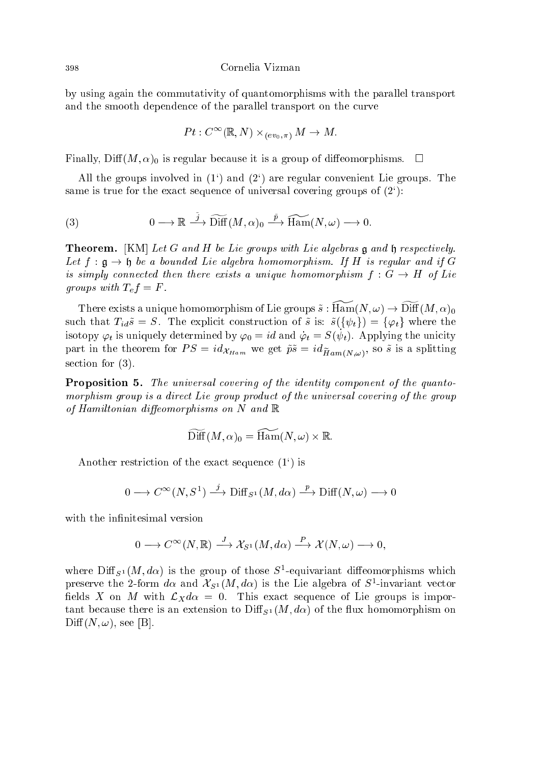Cornelia Vizman

by using again the commutativity of quantomorphisms with the parallel transport and the smooth dependence of the parallel transport on the curve

$$
Pt: C^\infty(\mathbb{R},N)\times_{(ev_0,\pi)}M\to M.
$$

Finally, Diff $(M, \alpha)_0$  is regular because it is a group of diffeomorphisms.  $\square$ 

All the groups involved in  $(1^{\circ})$  and  $(2^{\circ})$  are regular convenient Lie groups. The same is true for the exact sequence of universal covering groups of  $(2^{\epsilon})$ :

(3) 
$$
0 \longrightarrow \mathbb{R} \stackrel{\tilde{j}}{\longrightarrow} \widetilde{\text{Diff}}(M, \alpha)_0 \stackrel{\tilde{p}}{\longrightarrow} \widetilde{\text{Ham}}(N, \omega) \longrightarrow 0.
$$

**Theorem.** [KM] Let G and H be Lie groups with Lie algebras  $\mathfrak{g}$  and  $\mathfrak{h}$  respectively. Let  $f : \mathfrak{g} \to \mathfrak{h}$  be a bounded Lie algebra homomorphism. If H is regular and if G is simply connected then there exists a unique homomorphism  $f : G \to H$  of Lie groups with  $T_e f = F$ .

There exists a unique homomorphism of Lie groups  $\tilde{s} : \widetilde{\text{Ham}}(N, \omega) \to \widetilde{\text{Diff}}(M, \alpha)_0$ such that  $T_{id}\tilde{s} = S$ . The explicit construction of  $\tilde{s}$  is:  $\tilde{s}(\{\psi_t\}) = \{\varphi_t\}$  where the isotopy  $\varphi_t$  is uniquely determined by  $\varphi_0 = \imath d$  and  $\varphi_t = S(\psi_t).$  Applying the unicity  $\alpha_{Ham}$  is  $\alpha_{Ham}$  we get  $\alpha_{Ham}$  we get  $\alpha_{Ham}$  if  $\alpha_{Ham}$ section for (3).

Proposition 5. The universal covering of the identity component of the quantomorphism group is a direct Lie group product of the universal covering of the group of Hamiltonian diffeomorphisms on N and  $\mathbb R$ 

$$
\text{Diff}(M,\alpha)_0 = \text{Ham}(N,\omega) \times \mathbb{R}.
$$

Another restriction of the exact sequence (1`) is

$$
0 \longrightarrow C^{\infty}(N, S^1) \stackrel{j}{\longrightarrow} \text{Diff}_{S^1}(M, d\alpha) \stackrel{p}{\longrightarrow} \text{Diff}(N, \omega) \longrightarrow 0
$$

with the infinitesimal version

$$
0 \longrightarrow C^{\infty}(N, \mathbb{R}) \longrightarrow \mathcal{X}_{S^1}(M, d\alpha) \longrightarrow \mathcal{X}(N, \omega) \longrightarrow 0,
$$

where  $\text{Diff}_{S^1}(M, a\alpha)$  is the group of those  $S$ -equivariant diffeomorphisms which preserve the 2-form  $a\alpha$  and  $\lambda_{S^1}(m,a\alpha)$  is the Lie algebra of S--invariant vector fields X on M with  $\mathcal{L}_X d\alpha = 0$ . This exact sequence of Lie groups is important because there is an extension to  $\text{Diff}_{S^1}(M, d\alpha)$  of the flux homomorphism on  $Diff(N, \omega)$ , see [B].